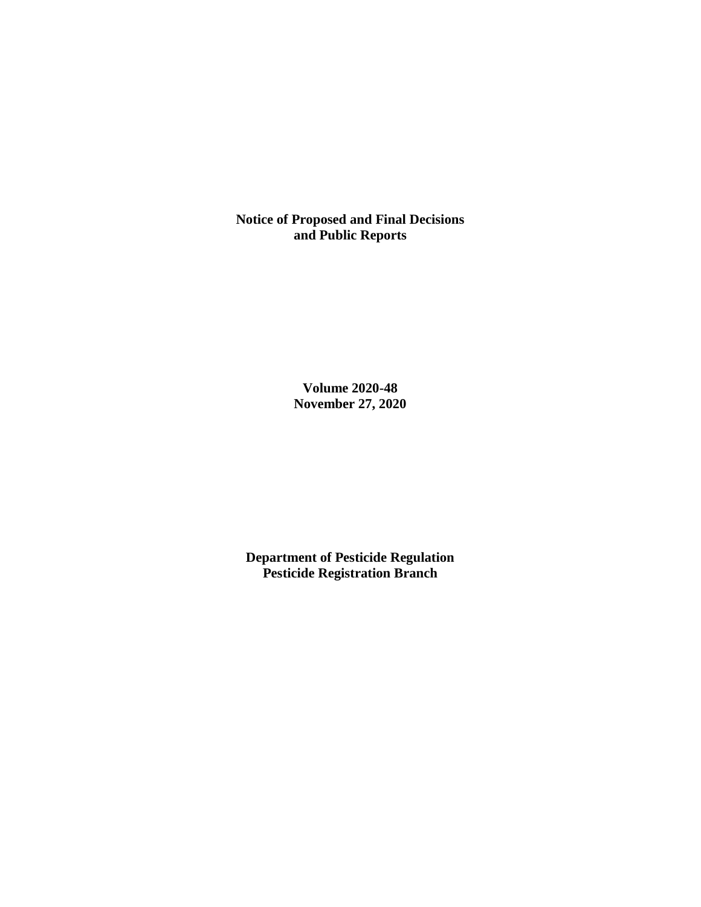**Notice of Proposed and Final Decisions and Public Reports**

> **Volume 2020-48 November 27, 2020**

**Department of Pesticide Regulation Pesticide Registration Branch**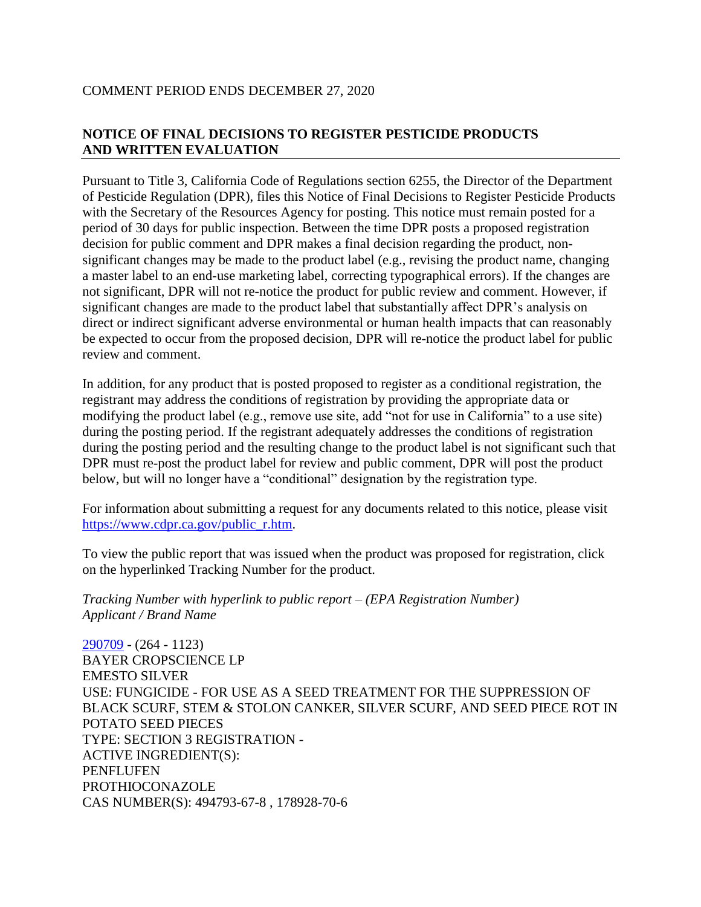### COMMENT PERIOD ENDS DECEMBER 27, 2020

# **NOTICE OF FINAL DECISIONS TO REGISTER PESTICIDE PRODUCTS AND WRITTEN EVALUATION**

Pursuant to Title 3, California Code of Regulations section 6255, the Director of the Department of Pesticide Regulation (DPR), files this Notice of Final Decisions to Register Pesticide Products with the Secretary of the Resources Agency for posting. This notice must remain posted for a period of 30 days for public inspection. Between the time DPR posts a proposed registration decision for public comment and DPR makes a final decision regarding the product, nonsignificant changes may be made to the product label (e.g., revising the product name, changing a master label to an end-use marketing label, correcting typographical errors). If the changes are not significant, DPR will not re-notice the product for public review and comment. However, if significant changes are made to the product label that substantially affect DPR's analysis on direct or indirect significant adverse environmental or human health impacts that can reasonably be expected to occur from the proposed decision, DPR will re-notice the product label for public review and comment.

In addition, for any product that is posted proposed to register as a conditional registration, the registrant may address the conditions of registration by providing the appropriate data or modifying the product label (e.g., remove use site, add "not for use in California" to a use site) during the posting period. If the registrant adequately addresses the conditions of registration during the posting period and the resulting change to the product label is not significant such that DPR must re-post the product label for review and public comment, DPR will post the product below, but will no longer have a "conditional" designation by the registration type.

For information about submitting a request for any documents related to this notice, please visit [https://www.cdpr.ca.gov/public\\_r.htm.](https://www.cdpr.ca.gov/public_r.htm)

To view the public report that was issued when the product was proposed for registration, click on the hyperlinked Tracking Number for the product.

*Tracking Number with hyperlink to public report – (EPA Registration Number) Applicant / Brand Name*

[290709](https://www.cdpr.ca.gov/docs/registration/nod/public_reports/290709.pdf) - (264 - 1123) BAYER CROPSCIENCE LP EMESTO SILVER USE: FUNGICIDE - FOR USE AS A SEED TREATMENT FOR THE SUPPRESSION OF BLACK SCURF, STEM & STOLON CANKER, SILVER SCURF, AND SEED PIECE ROT IN POTATO SEED PIECES TYPE: SECTION 3 REGISTRATION - ACTIVE INGREDIENT(S): PENFLUFEN PROTHIOCONAZOLE CAS NUMBER(S): 494793-67-8 , 178928-70-6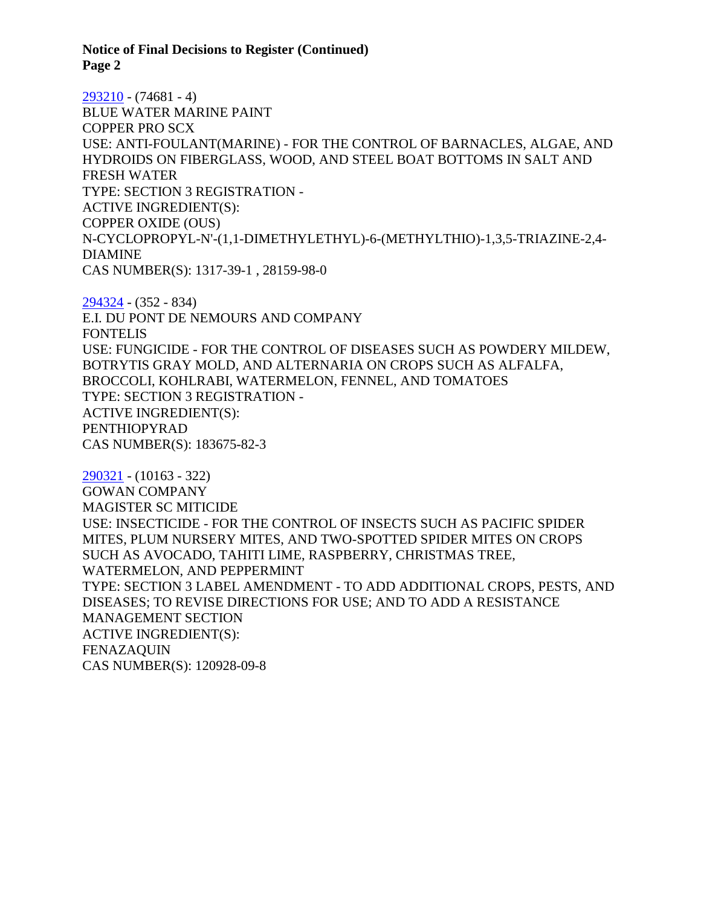**Notice of Final Decisions to Register (Continued) Page 2**

[293210](https://www.cdpr.ca.gov/docs/registration/nod/public_reports/293210.pdf) - (74681 - 4) BLUE WATER MARINE PAINT COPPER PRO SCX USE: ANTI-FOULANT(MARINE) - FOR THE CONTROL OF BARNACLES, ALGAE, AND HYDROIDS ON FIBERGLASS, WOOD, AND STEEL BOAT BOTTOMS IN SALT AND FRESH WATER TYPE: SECTION 3 REGISTRATION - ACTIVE INGREDIENT(S): COPPER OXIDE (OUS) N-CYCLOPROPYL-N'-(1,1-DIMETHYLETHYL)-6-(METHYLTHIO)-1,3,5-TRIAZINE-2,4- DIAMINE CAS NUMBER(S): 1317-39-1 , 28159-98-0

[294324](https://www.cdpr.ca.gov/docs/registration/nod/public_reports/294324.pdf) - (352 - 834) E.I. DU PONT DE NEMOURS AND COMPANY **FONTELIS** USE: FUNGICIDE - FOR THE CONTROL OF DISEASES SUCH AS POWDERY MILDEW, BOTRYTIS GRAY MOLD, AND ALTERNARIA ON CROPS SUCH AS ALFALFA, BROCCOLI, KOHLRABI, WATERMELON, FENNEL, AND TOMATOES TYPE: SECTION 3 REGISTRATION - ACTIVE INGREDIENT(S): PENTHIOPYRAD CAS NUMBER(S): 183675-82-3

[290321](https://www.cdpr.ca.gov/docs/registration/nod/public_reports/290321.pdf) - (10163 - 322) GOWAN COMPANY MAGISTER SC MITICIDE USE: INSECTICIDE - FOR THE CONTROL OF INSECTS SUCH AS PACIFIC SPIDER MITES, PLUM NURSERY MITES, AND TWO-SPOTTED SPIDER MITES ON CROPS SUCH AS AVOCADO, TAHITI LIME, RASPBERRY, CHRISTMAS TREE, WATERMELON, AND PEPPERMINT TYPE: SECTION 3 LABEL AMENDMENT - TO ADD ADDITIONAL CROPS, PESTS, AND DISEASES; TO REVISE DIRECTIONS FOR USE; AND TO ADD A RESISTANCE MANAGEMENT SECTION ACTIVE INGREDIENT(S): FENAZAQUIN CAS NUMBER(S): 120928-09-8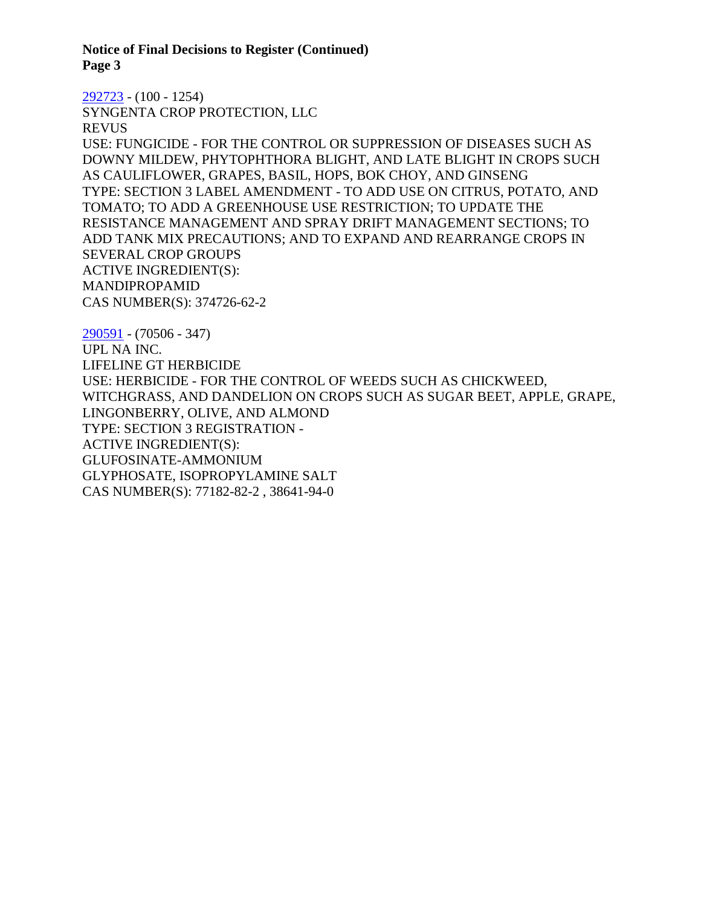**Notice of Final Decisions to Register (Continued) Page 3**

[292723](https://www.cdpr.ca.gov/docs/registration/nod/public_reports/292723.pdf) - (100 - 1254) SYNGENTA CROP PROTECTION, LLC REVUS USE: FUNGICIDE - FOR THE CONTROL OR SUPPRESSION OF DISEASES SUCH AS DOWNY MILDEW, PHYTOPHTHORA BLIGHT, AND LATE BLIGHT IN CROPS SUCH AS CAULIFLOWER, GRAPES, BASIL, HOPS, BOK CHOY, AND GINSENG TYPE: SECTION 3 LABEL AMENDMENT - TO ADD USE ON CITRUS, POTATO, AND TOMATO; TO ADD A GREENHOUSE USE RESTRICTION; TO UPDATE THE RESISTANCE MANAGEMENT AND SPRAY DRIFT MANAGEMENT SECTIONS; TO ADD TANK MIX PRECAUTIONS; AND TO EXPAND AND REARRANGE CROPS IN SEVERAL CROP GROUPS ACTIVE INGREDIENT(S): MANDIPROPAMID CAS NUMBER(S): 374726-62-2

[290591](https://www.cdpr.ca.gov/docs/registration/nod/public_reports/290591.pdf) - (70506 - 347) UPL NA INC. LIFELINE GT HERBICIDE USE: HERBICIDE - FOR THE CONTROL OF WEEDS SUCH AS CHICKWEED, WITCHGRASS, AND DANDELION ON CROPS SUCH AS SUGAR BEET, APPLE, GRAPE, LINGONBERRY, OLIVE, AND ALMOND TYPE: SECTION 3 REGISTRATION - ACTIVE INGREDIENT(S): GLUFOSINATE-AMMONIUM GLYPHOSATE, ISOPROPYLAMINE SALT CAS NUMBER(S): 77182-82-2 , 38641-94-0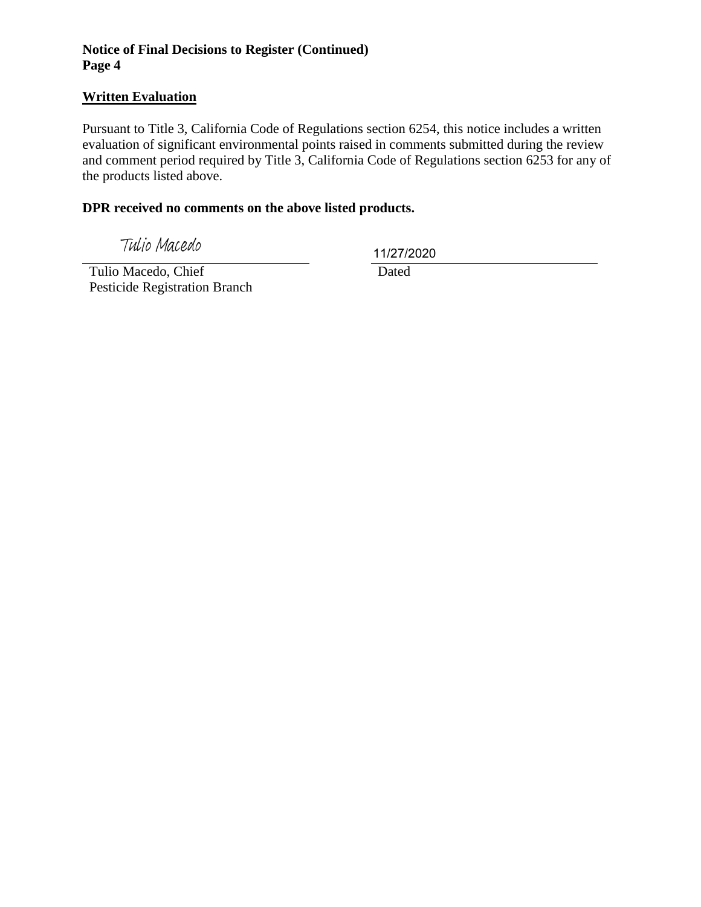### **Notice of Final Decisions to Register (Continued) Page 4**

### **Written Evaluation**

Pursuant to Title 3, California Code of Regulations section 6254, this notice includes a written evaluation of significant environmental points raised in comments submitted during the review and comment period required by Title 3, California Code of Regulations section 6253 for any of the products listed above.

### **DPR received no comments on the above listed products.**

Tulio Macedo

11/27/2020

 Tulio Macedo, Chief Pesticide Registration Branch

Dated